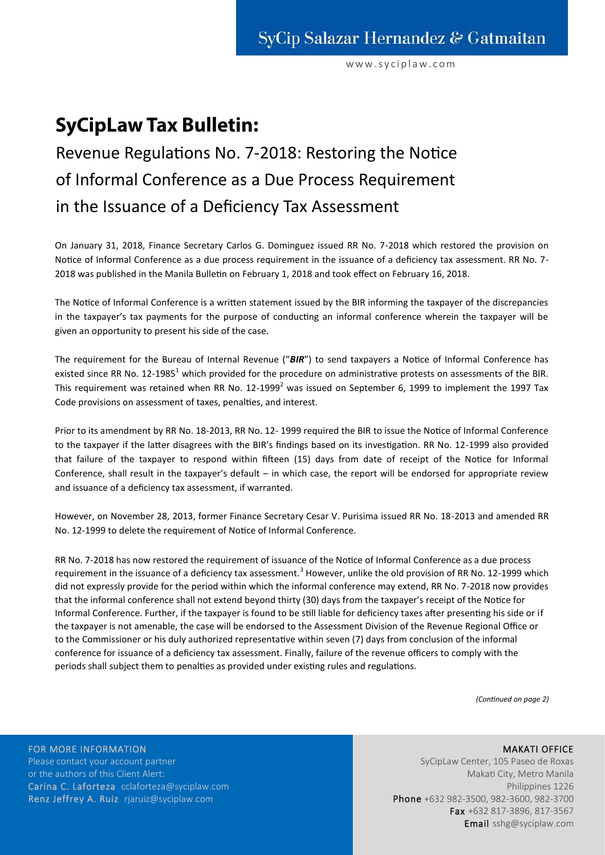www.syciplaw.com

# **SyCipLaw Tax Bulletin:**

# Revenue Regulations No. 7-2018: Restoring the Notice of Informal Conference as a Due Process Requirement in the Issuance of a Deficiency Tax Assessment

On January 31, 2018, Finance Secretary Carlos G. Dominguez issued RR No. 7-2018 which restored the provision on Notice of Informal Conference as a due process requirement in the issuance of a deficiency tax assessment. RR No. 7- 2018 was published in the Manila Bulletin on February 1, 2018 and took effect on February 16, 2018.

The Notice of Informal Conference is a written statement issued by the BIR informing the taxpayer of the discrepancies in the taxpayer's tax payments for the purpose of conducting an informal conference wherein the taxpayer will be given an opportunity to present his side of the case.

The requirement for the Bureau of Internal Revenue ("*BIR*") to send taxpayers a Notice of Informal Conference has existed since RR No. 12-1985<sup>1</sup> which provided for the procedure on administrative protests on assessments of the BIR. This requirement was retained when RR No.  $12\text{-}1999^2$  was issued on September 6, 1999 to implement the 1997 Tax Code provisions on assessment of taxes, penalties, and interest.

Prior to its amendment by RR No. 18-2013, RR No. 12- 1999 required the BIR to issue the Notice of Informal Conference to the taxpayer if the latter disagrees with the BIR's findings based on its investigation. RR No. 12-1999 also provided that failure of the taxpayer to respond within fifteen (15) days from date of receipt of the Notice for Informal Conference, shall result in the taxpayer's default – in which case, the report will be endorsed for appropriate review and issuance of a deficiency tax assessment, if warranted.

However, on November 28, 2013, former Finance Secretary Cesar V. Purisima issued RR No. 18-2013 and amended RR No. 12-1999 to delete the requirement of Notice of Informal Conference.

RR No. 7-2018 has now restored the requirement of issuance of the Notice of Informal Conference as a due process requirement in the issuance of a deficiency tax assessment.<sup>3</sup> However, unlike the old provision of RR No. 12-1999 which did not expressly provide for the period within which the informal conference may extend, RR No. 7-2018 now provides that the informal conference shall not extend beyond thirty (30) days from the taxpayer's receipt of the Notice for Informal Conference. Further, if the taxpayer is found to be still liable for deficiency taxes after presenting his side or if the taxpayer is not amenable, the case will be endorsed to the Assessment Division of the Revenue Regional Office or to the Commissioner or his duly authorized representative within seven (7) days from conclusion of the informal conference for issuance of a deficiency tax assessment. Finally, failure of the revenue officers to comply with the periods shall subject them to penalties as provided under existing rules and regulations.

*(Continued on page 2)*

FOR MORE INFORMATION Please contact your account partner or the authors of this Client Alert: Carina C. Laforteza cclaforteza@syciplaw.com Renz Jeffrey A. Ruiz rjaruiz@syciplaw.com

## MAKATI OFFICE

SyCipLaw Center, 105 Paseo de Roxas Makati City, Metro Manila Philippines 1226 Phone +632 982-3500, 982-3600, 982-3700 Fax +632 817-3896, 817-3567 Email sshg@syciplaw.com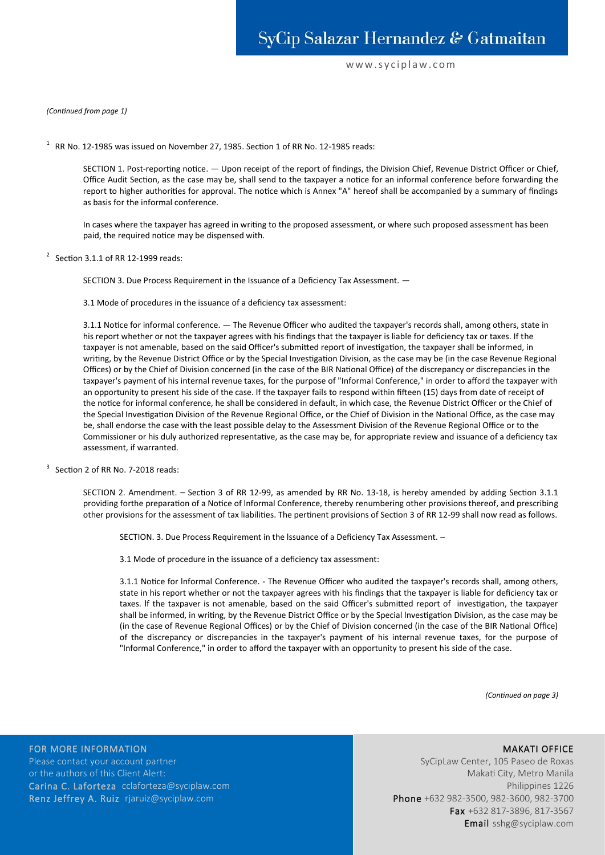### www.syciplaw.com

#### *(Continued from page 1)*

 $1$  RR No. 12-1985 was issued on November 27, 1985. Section 1 of RR No. 12-1985 reads:

SECTION 1. Post-reporting notice. — Upon receipt of the report of findings, the Division Chief, Revenue District Officer or Chief, Office Audit Section, as the case may be, shall send to the taxpayer a notice for an informal conference before forwarding the report to higher authorities for approval. The notice which is Annex "A" hereof shall be accompanied by a summary of findings as basis for the informal conference.

In cases where the taxpayer has agreed in writing to the proposed assessment, or where such proposed assessment has been paid, the required notice may be dispensed with.

 $2^2$  Section 3.1.1 of RR 12-1999 reads:

SECTION 3. Due Process Requirement in the Issuance of a Deficiency Tax Assessment. —

3.1 Mode of procedures in the issuance of a deficiency tax assessment:

3.1.1 Notice for informal conference. — The Revenue Officer who audited the taxpayer's records shall, among others, state in his report whether or not the taxpayer agrees with his findings that the taxpayer is liable for deficiency tax or taxes. If the taxpayer is not amenable, based on the said Officer's submitted report of investigation, the taxpayer shall be informed, in writing, by the Revenue District Office or by the Special Investigation Division, as the case may be (in the case Revenue Regional Offices) or by the Chief of Division concerned (in the case of the BIR National Office) of the discrepancy or discrepancies in the taxpayer's payment of his internal revenue taxes, for the purpose of "Informal Conference," in order to afford the taxpayer with an opportunity to present his side of the case. If the taxpayer fails to respond within fifteen (15) days from date of receipt of the notice for informal conference, he shall be considered in default, in which case, the Revenue District Officer or the Chief of the Special Investigation Division of the Revenue Regional Office, or the Chief of Division in the National Office, as the case may be, shall endorse the case with the least possible delay to the Assessment Division of the Revenue Regional Office or to the Commissioner or his duly authorized representative, as the case may be, for appropriate review and issuance of a deficiency tax assessment, if warranted.

 $3$  Section 2 of RR No. 7-2018 reads:

SECTION 2. Amendment. – Section 3 of RR 12-99, as amended by RR No. 13-18, is hereby amended by adding Section 3.1.1 providing forthe preparation of a Notice of lnformal Conference, thereby renumbering other provisions thereof, and prescribing other provisions for the assessment of tax liabilities. The pertinent provisions of Section 3 of RR 12-99 shall now read as follows.

SECTION. 3. Due Process Requirement in the lssuance of a Deficiency Tax Assessment. –

3.1 Mode of procedure in the issuance of a deficiency tax assessment:

3.1.1 Notice for lnformal Conference. - The Revenue Officer who audited the taxpayer's records shall, among others, state in his report whether or not the taxpayer agrees with his findings that the taxpayer is liable for deficiency tax or taxes. lf the taxpaver is not amenable, based on the said Officer's submitted report of investigation, the taxpayer shall be informed, in writing, by the Revenue District Office or by the Special lnvestigation Division, as the case may be (in the case of Revenue Regional Offices) or by the Chief of Division concerned (in the case of the BIR National Office) of the discrepancy or discrepancies in the taxpayer's payment of his internal revenue taxes, for the purpose of "lnformal Conference," in order to afford the taxpayer with an opportunity to present his side of the case.

*(Continued on page 3)*

FOR MORE INFORMATION Please contact your account partner or the authors of this Client Alert: Carina C. Laforteza cclaforteza@syciplaw.com Renz Jeffrey A. Ruiz rjaruiz@syciplaw.com

MAKATI OFFICE SyCipLaw Center, 105 Paseo de Roxas Makati City, Metro Manila Philippines 1226 Phone +632 982-3500, 982-3600, 982-3700 Fax +632 817-3896, 817-3567

Email sshg@syciplaw.com